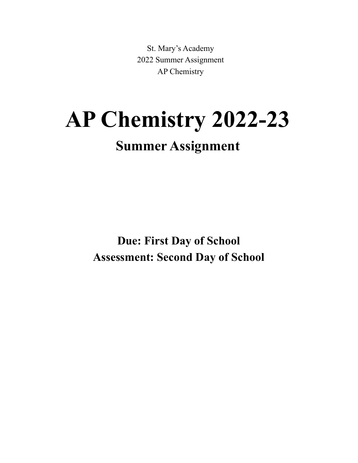St. Mary's Academy 2022 Summer Assignment AP Chemistry

# **AP Chemistry 2022-23 Summer Assignment**

**Due: First Day of School Assessment: Second Day of School**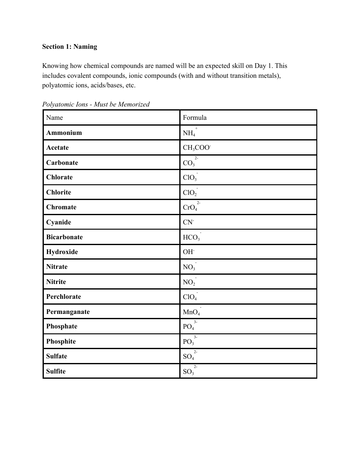# **Section 1: Naming**

Knowing how chemical compounds are named will be an expected skill on Day 1. This includes covalent compounds, ionic compounds (with and without transition metals), polyatomic ions, acids/bases, etc.

| Name               | Formula                           |
|--------------------|-----------------------------------|
| Ammonium           | NH <sub>4</sub>                   |
| Acetate            | CH <sub>3</sub> COO <sup>-</sup>  |
| Carbonate          | $\overline{{\rm CO}_3}^2$         |
| <b>Chlorate</b>    | ClO <sub>3</sub>                  |
| <b>Chlorite</b>    | ClO <sub>2</sub>                  |
| <b>Chromate</b>    | $2 -$<br>CrO <sub>4</sub>         |
| Cyanide            | $CN-$                             |
| <b>Bicarbonate</b> | HCO <sub>3</sub>                  |
| Hydroxide          | OH <sup>-</sup>                   |
| <b>Nitrate</b>     | NO <sub>3</sub>                   |
| <b>Nitrite</b>     | NO <sub>2</sub>                   |
| Perchlorate        | ClO <sub>4</sub>                  |
| Permanganate       | MnO <sub>4</sub>                  |
| Phosphate          | $3-$<br>PO <sub>4</sub>           |
| Phosphite          | $\overline{3}$<br>PO <sub>3</sub> |
| <b>Sulfate</b>     | $2-$<br>SO <sub>4</sub>           |
| <b>Sulfite</b>     | $2 -$<br>$SO_3$                   |

*Polyatomic Ions - Must be Memorized*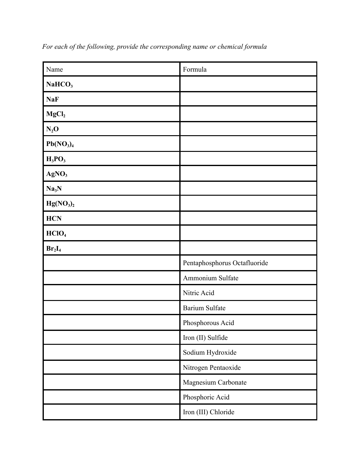| Name                              | Formula                      |  |
|-----------------------------------|------------------------------|--|
| NaHCO <sub>3</sub>                |                              |  |
| <b>NaF</b>                        |                              |  |
| MgCl <sub>2</sub>                 |                              |  |
| $N_2O$                            |                              |  |
| Pb(NO <sub>3</sub> ) <sub>4</sub> |                              |  |
| $H_3PO_3$                         |                              |  |
| AgNO <sub>3</sub>                 |                              |  |
| Na <sub>3</sub> N                 |                              |  |
| Hg(NO <sub>3</sub> ) <sub>2</sub> |                              |  |
| <b>HCN</b>                        |                              |  |
| HCIO <sub>4</sub>                 |                              |  |
| $Br_2I_4$                         |                              |  |
|                                   | Pentaphosphorus Octafluoride |  |
|                                   | Ammonium Sulfate             |  |
|                                   | Nitric Acid                  |  |
|                                   | <b>Barium Sulfate</b>        |  |
|                                   | Phosphorous Acid             |  |
|                                   | Iron (II) Sulfide            |  |
|                                   | Sodium Hydroxide             |  |
|                                   | Nitrogen Pentaoxide          |  |
|                                   | Magnesium Carbonate          |  |
|                                   | Phosphoric Acid              |  |
|                                   | Iron (III) Chloride          |  |

*For each of the following, provide the corresponding name or chemical formula*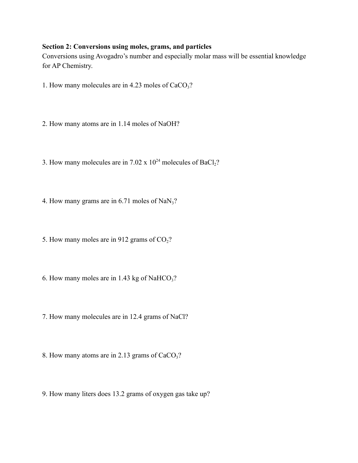## **Section 2: Conversions using moles, grams, and particles**

Conversions using Avogadro's number and especially molar mass will be essential knowledge for AP Chemistry.

- 1. How many molecules are in 4.23 moles of  $CaCO<sub>3</sub>$ ?
- 2. How many atoms are in 1.14 moles of NaOH?
- 3. How many molecules are in 7.02 x  $10^{24}$  molecules of BaCl<sub>2</sub>?
- 4. How many grams are in 6.71 moles of  $NaN<sub>3</sub>$ ?
- 5. How many moles are in 912 grams of  $CO<sub>2</sub>$ ?
- 6. How many moles are in 1.43 kg of NaHCO<sub>3</sub>?
- 7. How many molecules are in 12.4 grams of NaCl?
- 8. How many atoms are in 2.13 grams of  $CaCO<sub>3</sub>$ ?
- 9. How many liters does 13.2 grams of oxygen gas take up?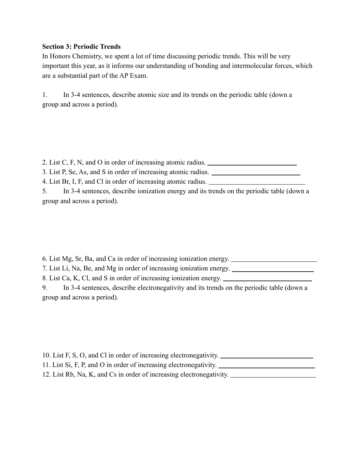## **Section 3: Periodic Trends**

In Honors Chemistry, we spent a lot of time discussing periodic trends. This will be very important this year, as it informs our understanding of bonding and intermolecular forces, which are a substantial part of the AP Exam.

1. In 3-4 sentences, describe atomic size and its trends on the periodic table (down a group and across a period).

2. List C, F, N, and O in order of increasing atomic radius. 3. List P, Se, As, and S in order of increasing atomic radius.

4. List Br, I, F, and Cl in order of increasing atomic radius.

5. In 3-4 sentences, describe ionization energy and its trends on the periodic table (down a group and across a period).

6. List Mg, Sr, Ba, and Ca in order of increasing ionization energy.

7. List Li, Na, Be, and Mg in order of increasing ionization energy.

8. List Ca, K, Cl, and S in order of increasing ionization energy.

9. In 3-4 sentences, describe electronegativity and its trends on the periodic table (down a group and across a period).

10. List F, S, O, and Cl in order of increasing electronegativity. 11. List Si, F, P, and O in order of increasing electronegativity. 12. List Rb, Na, K, and Cs in order of increasing electronegativity.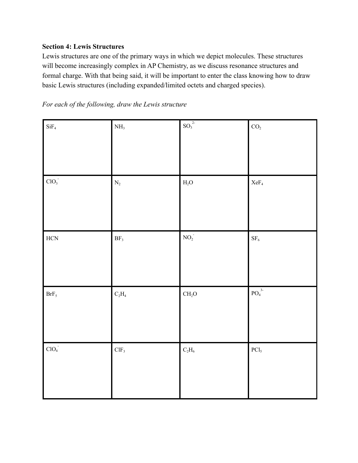# **Section 4: Lewis Structures**

Lewis structures are one of the primary ways in which we depict molecules. These structures will become increasingly complex in AP Chemistry, as we discuss resonance structures and formal charge. With that being said, it will be important to enter the class knowing how to draw basic Lewis structures (including expanded/limited octets and charged species).

*For each of the following, draw the Lewis structure*

| $\mathrm{SiF}_4$ | $\mathrm{NH}_3$  | $\mathrm{SO}_3^{\hspace{0.5mm}2\hspace{-0.5mm}\cdot}$ | $\mathrm{CO}_2$                               |
|------------------|------------------|-------------------------------------------------------|-----------------------------------------------|
| ClO <sub>3</sub> | $\rm N_2$        | $\rm H_2O$                                            | $\rm XeF_{4}$                                 |
|                  |                  |                                                       |                                               |
| $\rm HCN$        | $\rm BF_3$       | $\mathrm{NO_2}$                                       | $\rm SF_6$                                    |
| $\mbox{BrF}_5$   | $\rm{C_2H_4}$    | CH <sub>2</sub> O                                     | $\overline{{\rm PO}_4}^{\hspace{1pt} 3\cdot}$ |
| $\text{ClO}_4$   | CIF <sub>3</sub> | $\rm{C_2H_6}$                                         | $\rm{PCl}_{5}$                                |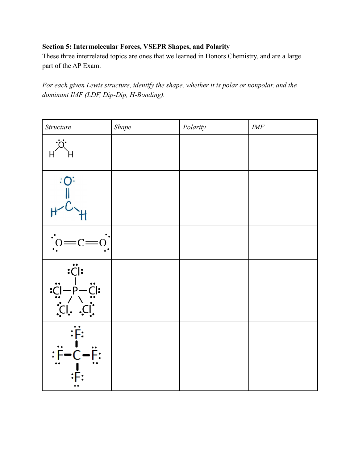# **Section 5: Intermolecular Forces, VSEPR Shapes, and Polarity**

These three interrelated topics are ones that we learned in Honors Chemistry, and are a large part of the AP Exam.

*For each given Lewis structure, identify the shape, whether it is polar or nonpolar, and the dominant IMF (LDF, Dip-Dip, H-Bonding).*

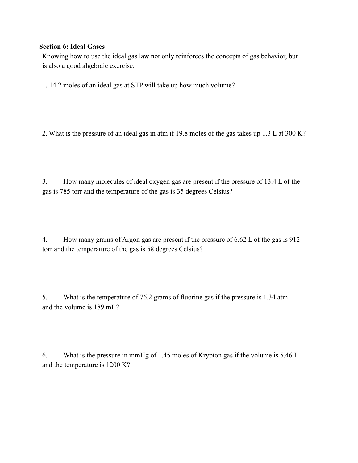## **Section 6: Ideal Gases**

Knowing how to use the ideal gas law not only reinforces the concepts of gas behavior, but is also a good algebraic exercise.

1. 14.2 moles of an ideal gas at STP will take up how much volume?

2. What is the pressure of an ideal gas in atm if 19.8 moles of the gas takes up 1.3 L at 300 K?

3. How many molecules of ideal oxygen gas are present if the pressure of 13.4 L of the gas is 785 torr and the temperature of the gas is 35 degrees Celsius?

4. How many grams of Argon gas are present if the pressure of 6.62 L of the gas is 912 torr and the temperature of the gas is 58 degrees Celsius?

5. What is the temperature of 76.2 grams of fluorine gas if the pressure is 1.34 atm and the volume is 189 mL?

6. What is the pressure in mmHg of 1.45 moles of Krypton gas if the volume is 5.46 L and the temperature is 1200 K?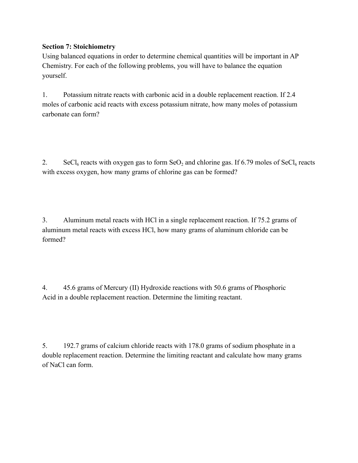# **Section 7: Stoichiometry**

Using balanced equations in order to determine chemical quantities will be important in AP Chemistry. For each of the following problems, you will have to balance the equation yourself.

1. Potassium nitrate reacts with carbonic acid in a double replacement reaction. If 2.4 moles of carbonic acid reacts with excess potassium nitrate, how many moles of potassium carbonate can form?

2. SeCl<sub>6</sub> reacts with oxygen gas to form SeO<sub>2</sub> and chlorine gas. If 6.79 moles of SeCl<sub>6</sub> reacts with excess oxygen, how many grams of chlorine gas can be formed?

3. Aluminum metal reacts with HCl in a single replacement reaction. If 75.2 grams of aluminum metal reacts with excess HCl, how many grams of aluminum chloride can be formed?

4. 45.6 grams of Mercury (II) Hydroxide reactions with 50.6 grams of Phosphoric Acid in a double replacement reaction. Determine the limiting reactant.

5. 192.7 grams of calcium chloride reacts with 178.0 grams of sodium phosphate in a double replacement reaction. Determine the limiting reactant and calculate how many grams of NaCl can form.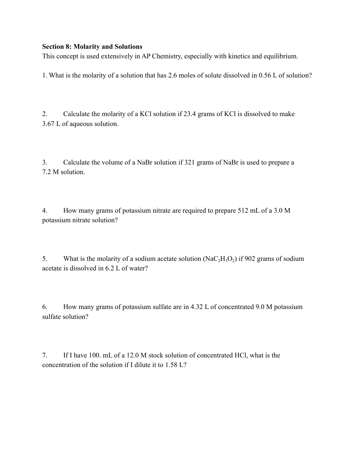## **Section 8: Molarity and Solutions**

This concept is used extensively in AP Chemistry, especially with kinetics and equilibrium.

1. What is the molarity of a solution that has 2.6 moles of solute dissolved in 0.56 L of solution?

2. Calculate the molarity of a KCl solution if 23.4 grams of KCl is dissolved to make 3.67 L of aqueous solution.

3. Calculate the volume of a NaBr solution if 321 grams of NaBr is used to prepare a 7.2 M solution.

4. How many grams of potassium nitrate are required to prepare 512 mL of a 3.0 M potassium nitrate solution?

5. What is the molarity of a sodium acetate solution  $(NaC<sub>2</sub>H<sub>3</sub>O<sub>2</sub>)$  if 902 grams of sodium acetate is dissolved in 6.2 L of water?

6. How many grams of potassium sulfate are in 4.32 L of concentrated 9.0 M potassium sulfate solution?

7. If I have 100. mL of a 12.0 M stock solution of concentrated HCl, what is the concentration of the solution if I dilute it to 1.58 L?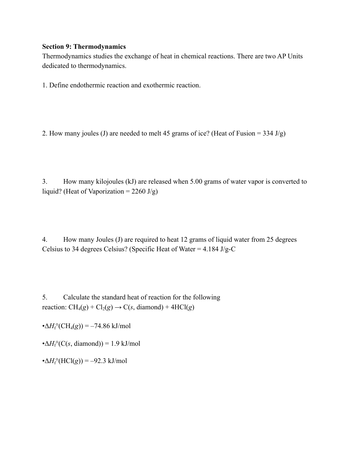#### **Section 9: Thermodynamics**

Thermodynamics studies the exchange of heat in chemical reactions. There are two AP Units dedicated to thermodynamics.

1. Define endothermic reaction and exothermic reaction.

2. How many joules (J) are needed to melt 45 grams of ice? (Heat of Fusion =  $334 \text{ J/g}$ )

3. How many kilojoules (kJ) are released when 5.00 grams of water vapor is converted to liquid? (Heat of Vaporization =  $2260 \text{ J/g}$ )

4. How many Joules (J) are required to heat 12 grams of liquid water from 25 degrees Celsius to 34 degrees Celsius? (Specific Heat of Water =  $4.184 \text{ J/g-C}$ 

5. Calculate the standard heat of reaction for the following reaction:  $CH_4(g) + Cl_2(g) \rightarrow C(s, diamond) + 4HCl(g)$ 

• $\Delta H_f^{\circ}(\text{CH}_4(g)) = -74.86 \text{ kJ/mol}$ 

• $\Delta H_f^{\circ}$ (*C(s, diamond)*) = 1.9 kJ/mol

 $\cdot \Delta H_f^{\circ}(\text{HCl}(g)) = -92.3 \text{ kJ/mol}$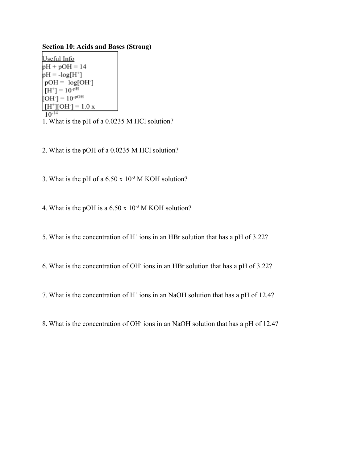**Section 10: Acids and Bases (Strong)**

Useful Info  $pH + pOH = 14$  $pH = -log[H^+]$  $pOH = -log[OH^{-}]$  $[H^+] = 10^{-pH}$  $[OH] = 10^{-pOH}$  $[H^+][OH^-] = 1.0 x$  $10^{-14}$ 1. What is the pH of a 0.0235 M HCl solution?

- 
- 2. What is the pOH of a 0.0235 M HCl solution?
- 3. What is the pH of a  $6.50 \times 10^{-3}$  M KOH solution?
- 4. What is the pOH is a  $6.50 \times 10^{-3}$  M KOH solution?
- 5. What is the concentration of  $H^+$  ions in an HBr solution that has a pH of 3.22?
- 6. What is the concentration of OH-ions in an HBr solution that has a pH of 3.22?
- 7. What is the concentration of  $H^+$  ions in an NaOH solution that has a pH of 12.4?
- 8. What is the concentration of OH-ions in an NaOH solution that has a pH of 12.4?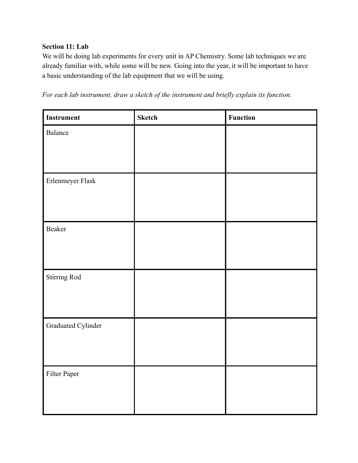# **Section 11: Lab**

We will be doing lab experiments for every unit in AP Chemistry. Some lab techniques we are already familiar with, while some will be new. Going into the year, it will be important to have a basic understanding of the lab equipment that we will be using.

*For each lab instrument, draw a sketch of the instrument and briefly explain its function.*

| Instrument         | <b>Sketch</b> | <b>Function</b> |
|--------------------|---------------|-----------------|
| Balance            |               |                 |
|                    |               |                 |
|                    |               |                 |
| Erlenmeyer Flask   |               |                 |
|                    |               |                 |
|                    |               |                 |
| Beaker             |               |                 |
|                    |               |                 |
|                    |               |                 |
| Stirring Rod       |               |                 |
|                    |               |                 |
|                    |               |                 |
| Graduated Cylinder |               |                 |
|                    |               |                 |
|                    |               |                 |
| Filter Paper       |               |                 |
|                    |               |                 |
|                    |               |                 |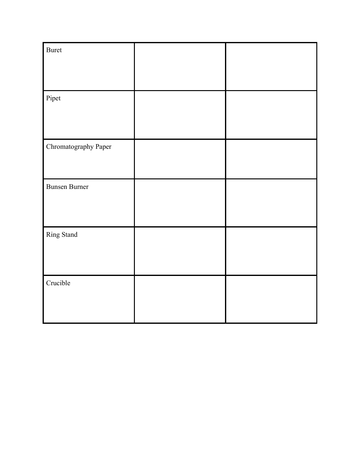| <b>Buret</b>         |  |
|----------------------|--|
| Pipet                |  |
| Chromatography Paper |  |
| <b>Bunsen Burner</b> |  |
| Ring Stand           |  |
| Crucible             |  |